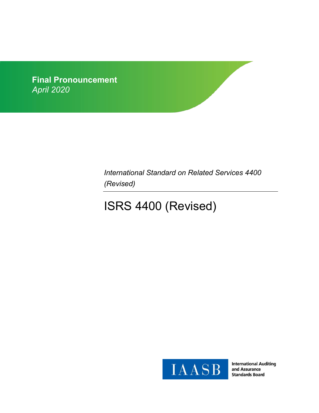

*International Standard on Related Services 4400 (Revised)*

# ISRS 4400 (Revised)



**International Auditing** and Assurance **Standards Board**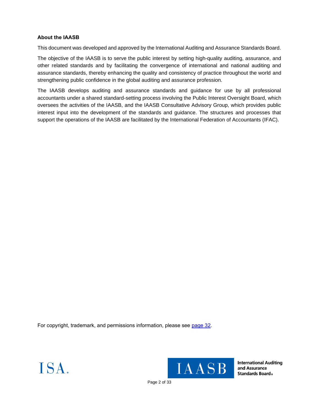# **About the IAASB**

This document was developed and approved by the International Auditing and Assurance Standards Board.

The objective of the IAASB is to serve the public interest by setting high-quality auditing, assurance, and other related standards and by facilitating the convergence of international and national auditing and assurance standards, thereby enhancing the quality and consistency of practice throughout the world and strengthening public confidence in the global auditing and assurance profession.

The IAASB develops auditing and assurance standards and guidance for use by all professional accountants under a shared standard-setting process involving the Public Interest Oversight Board, which oversees the activities of the IAASB, and the IAASB Consultative Advisory Group, which provides public interest input into the development of the standards and guidance. The structures and processes that support the operations of the IAASB are facilitated by the International Federation of Accountants (IFAC).

For copyright, trademark, and permissions information, please see [page 32.](#page-31-0)





**International Auditing** and Assurance **Standards Board**.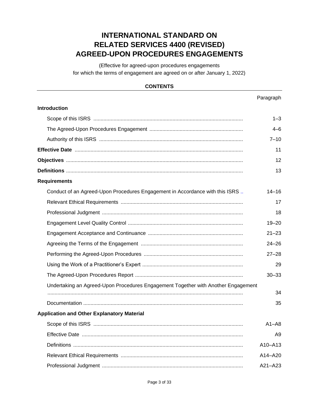# **INTERNATIONAL STANDARD ON RELATED SERVICES 4400 (REVISED) AGREED-UPON PROCEDURES ENGAGEMENTS**

(Effective for agreed-upon procedures engagements for which the terms of engagement are agreed on or after January 1, 2022)

# **CONTENTS**

# Paragraph **Introduction** [Scope of this ISRS](#page-4-0) ........................................................................................................ 1–3 [The Agreed-Upon Procedures Engagement](#page-4-1) ................................................................. 4–6 [Authority of this ISRS](#page-4-2) .................................................................................................... 7–10 **[Effective Date](#page-5-0)** ..................................................................................................................... 11 **[Objectives](#page-5-1)** ........................................................................................................................... 12 **[Definitions](#page-5-2)** ........................................................................................................................... 13 **Requirements** [Conduct of an Agreed-Upon Procedures Engagement in Accordance with this ISRS](#page-6-0) .. 14–16 [Relevant Ethical Requirements](#page-6-1) ..................................................................................... 17 [Professional Judgment](#page-7-0) .................................................................................................. 18 [Engagement Level Quality Control](#page-7-1) ................................................................................ 19–20 [Engagement Acceptance and Continuance](#page-7-2) .................................................................. 21–23 [Agreeing the Terms of the Engagement](#page-8-0) ....................................................................... 24–26 [Performing the Agreed-Upon Procedures](#page-9-0) ..................................................................... 27–28 [Using the Work of a Practitioner's Expert](#page-9-1) ...................................................................... 29 [The Agreed-Upon Procedures Report](#page-9-2) ........................................................................... 30–33 [Undertaking an Agreed-Upon Procedures Engagement Together with Another Engagement](#page-11-0) ........................................................................................................................................ 34 [Documentation](#page-11-1) ............................................................................................................... 35 **Application and Other Explanatory Material** [Scope of this](#page-11-2) ISRS ........................................................................................................ A1–A8 [Effective Date](#page-5-0) ................................................................................................................ A9 [Definitions](#page-13-0) ...................................................................................................................... A10–A13 [Relevant Ethical Requirements](#page-13-1) ..................................................................................... A14–A20 [Professional Judgment](#page-15-0) .................................................................................................. A21–A23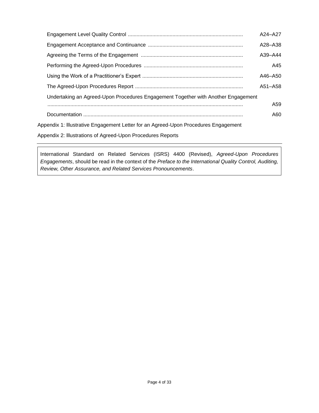|                                                                                     | A24-A27 |
|-------------------------------------------------------------------------------------|---------|
|                                                                                     | A28-A38 |
|                                                                                     | A39-A44 |
|                                                                                     | A45     |
|                                                                                     | A46-A50 |
|                                                                                     | A51-A58 |
| Undertaking an Agreed-Upon Procedures Engagement Together with Another Engagement   |         |
|                                                                                     | A59     |
|                                                                                     | A60     |
| Appendix 1: Illustrative Engagement Letter for an Agreed-Upon Procedures Engagement |         |
| Appendix 2: Illustrations of Agreed-Upon Procedures Reports                         |         |

International Standard on Related Services (ISRS) 4400 (Revised), *Agreed-Upon Procedures Engagements*, should be read in the context of the *Preface to the International Quality Control, Auditing, Review, Other Assurance, and Related Services Pronouncements*.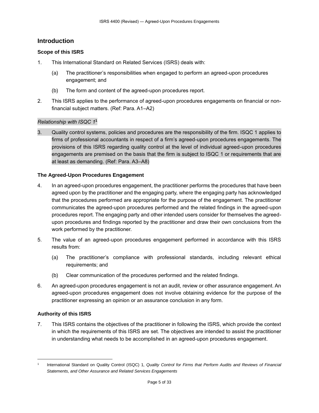# **Introduction**

# <span id="page-4-0"></span>**Scope of this ISRS**

- 1. This International Standard on Related Services (ISRS) deals with:
	- (a) The practitioner's responsibilities when engaged to perform an agreed-upon procedures engagement; and
	- (b) The form and content of the agreed-upon procedures report.
- 2. This ISRS applies to the performance of agreed-upon procedures engagements on financial or nonfinancial subject matters. (Ref: Para. A1–A2)

# *Relationship with ISQC 1* **1**

3. Quality control systems, policies and procedures are the responsibility of the firm. ISQC 1 applies to firms of professional accountants in respect of a firm's agreed-upon procedures engagements. The provisions of this ISRS regarding quality control at the level of individual agreed-upon procedures engagements are premised on the basis that the firm is subject to ISQC 1 or requirements that are at least as demanding. (Ref: Para. A3–A8)

### <span id="page-4-1"></span>**The Agreed-Upon Procedures Engagement**

- 4. In an agreed-upon procedures engagement, the practitioner performs the procedures that have been agreed upon by the practitioner and the engaging party, where the engaging party has acknowledged that the procedures performed are appropriate for the purpose of the engagement. The practitioner communicates the agreed-upon procedures performed and the related findings in the agreed-upon procedures report. The engaging party and other intended users consider for themselves the agreedupon procedures and findings reported by the practitioner and draw their own conclusions from the work performed by the practitioner.
- 5. The value of an agreed-upon procedures engagement performed in accordance with this ISRS results from:
	- (a) The practitioner's compliance with professional standards, including relevant ethical requirements; and
	- (b) Clear communication of the procedures performed and the related findings.
- <span id="page-4-2"></span>6. An agreed-upon procedures engagement is not an audit, review or other assurance engagement. An agreed-upon procedures engagement does not involve obtaining evidence for the purpose of the practitioner expressing an opinion or an assurance conclusion in any form.

# **Authority of this ISRS**

7. This ISRS contains the objectives of the practitioner in following the ISRS, which provide the context in which the requirements of this ISRS are set. The objectives are intended to assist the practitioner in understanding what needs to be accomplished in an agreed-upon procedures engagement.

<sup>1</sup> International Standard on Quality Control (ISQC) 1, *Quality Control for Firms that Perform Audits and Reviews of Financial Statements, and Other Assurance and Related Services Engagements*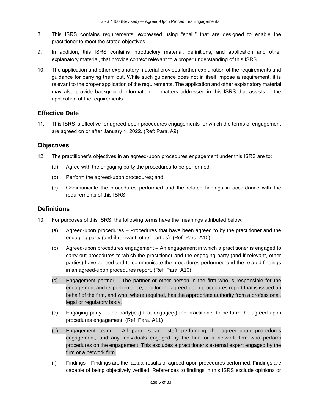- 8. This ISRS contains requirements, expressed using "shall," that are designed to enable the practitioner to meet the stated objectives.
- 9. In addition, this ISRS contains introductory material, definitions, and application and other explanatory material, that provide context relevant to a proper understanding of this ISRS.
- 10. The application and other explanatory material provides further explanation of the requirements and guidance for carrying them out. While such guidance does not in itself impose a requirement, it is relevant to the proper application of the requirements. The application and other explanatory material may also provide background information on matters addressed in this ISRS that assists in the application of the requirements.

# <span id="page-5-0"></span>**Effective Date**

11. This ISRS is effective for agreed-upon procedures engagements for which the terms of engagement are agreed on or after January 1, 2022. (Ref: Para. A9)

# <span id="page-5-1"></span>**Objectives**

- 12. The practitioner's objectives in an agreed-upon procedures engagement under this ISRS are to:
	- (a) Agree with the engaging party the procedures to be performed;
	- (b) Perform the agreed-upon procedures; and
	- (c) Communicate the procedures performed and the related findings in accordance with the requirements of this ISRS.

# <span id="page-5-2"></span>**Definitions**

- 13. For purposes of this ISRS, the following terms have the meanings attributed below:
	- (a) Agreed-upon procedures Procedures that have been agreed to by the practitioner and the engaging party (and if relevant, other parties). (Ref: Para. A10)
	- (b) Agreed-upon procedures engagement An engagement in which a practitioner is engaged to carry out procedures to which the practitioner and the engaging party (and if relevant, other parties) have agreed and to communicate the procedures performed and the related findings in an agreed-upon procedures report. (Ref: Para. A10)
	- (c) Engagement partner The partner or other person in the firm who is responsible for the engagement and its performance, and for the agreed-upon procedures report that is issued on behalf of the firm, and who, where required, has the appropriate authority from a professional, legal or regulatory body.
	- (d) Engaging party The party(ies) that engage(s) the practitioner to perform the agreed-upon procedures engagement. (Ref: Para. A11)
	- (e) Engagement team All partners and staff performing the agreed-upon procedures engagement, and any individuals engaged by the firm or a network firm who perform procedures on the engagement. This excludes a practitioner's external expert engaged by the firm or a network firm.
	- (f) Findings Findings are the factual results of agreed-upon procedures performed. Findings are capable of being objectively verified. References to findings in this ISRS exclude opinions or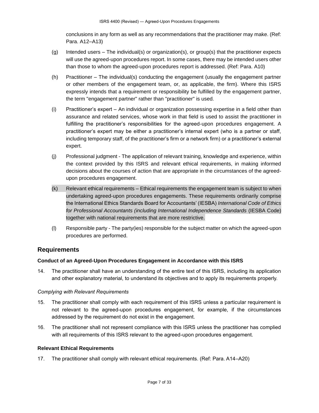conclusions in any form as well as any recommendations that the practitioner may make. (Ref: Para. A12–A13)

- (g) Intended users The individual(s) or organization(s), or group(s) that the practitioner expects will use the agreed-upon procedures report. In some cases, there may be intended users other than those to whom the agreed-upon procedures report is addressed. (Ref: Para. A10)
- (h) Practitioner The individual(s) conducting the engagement (usually the engagement partner or other members of the engagement team, or, as applicable, the firm). Where this ISRS expressly intends that a requirement or responsibility be fulfilled by the engagement partner, the term "engagement partner" rather than "practitioner" is used.
- (i) Practitioner's expert An individual or organization possessing expertise in a field other than assurance and related services, whose work in that field is used to assist the practitioner in fulfilling the practitioner's responsibilities for the agreed-upon procedures engagement. A practitioner's expert may be either a practitioner's internal expert (who is a partner or staff, including temporary staff, of the practitioner's firm or a network firm) or a practitioner's external expert.
- (j) Professional judgment The application of relevant training, knowledge and experience, within the context provided by this ISRS and relevant ethical requirements, in making informed decisions about the courses of action that are appropriate in the circumstances of the agreedupon procedures engagement.
- (k) Relevant ethical requirements Ethical requirements the engagement team is subject to when undertaking agreed-upon procedures engagements. These requirements ordinarily comprise the International Ethics Standards Board for Accountants' (IESBA) *International Code of Ethics for Professional Accountants (including International Independence Standards* (IESBA Code) together with national requirements that are more restrictive.
- (l) Responsible party The party(ies) responsible for the subject matter on which the agreed-upon procedures are performed.

# **Requirements**

# <span id="page-6-0"></span>**Conduct of an Agreed-Upon Procedures Engagement in Accordance with this ISRS**

14. The practitioner shall have an understanding of the entire text of this ISRS, including its application and other explanatory material, to understand its objectives and to apply its requirements properly.

#### *Complying with Relevant Requirements*

- 15. The practitioner shall comply with each requirement of this ISRS unless a particular requirement is not relevant to the agreed-upon procedures engagement, for example, if the circumstances addressed by the requirement do not exist in the engagement.
- 16. The practitioner shall not represent compliance with this ISRS unless the practitioner has complied with all requirements of this ISRS relevant to the agreed-upon procedures engagement.

#### <span id="page-6-1"></span>**Relevant Ethical Requirements**

17. The practitioner shall comply with relevant ethical requirements. (Ref: Para. A14–A20)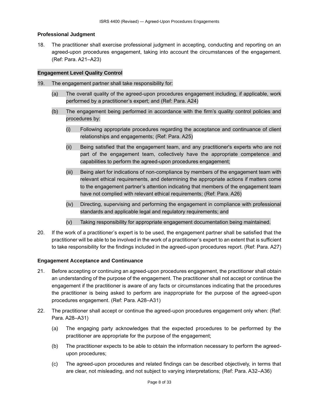#### <span id="page-7-0"></span>**Professional Judgment**

18. The practitioner shall exercise professional judgment in accepting, conducting and reporting on an agreed-upon procedures engagement, taking into account the circumstances of the engagement. (Ref: Para. A21–A23)

### <span id="page-7-1"></span>**Engagement Level Quality Control**

- 19. The engagement partner shall take responsibility for:
	- (a) The overall quality of the agreed-upon procedures engagement including, if applicable, work performed by a practitioner's expert; and (Ref: Para. A24)
	- (b) The engagement being performed in accordance with the firm's quality control policies and procedures by:
		- (i) Following appropriate procedures regarding the acceptance and continuance of client relationships and engagements; (Ref: Para. A25)
		- (ii) Being satisfied that the engagement team, and any practitioner's experts who are not part of the engagement team, collectively have the appropriate competence and capabilities to perform the agreed-upon procedures engagement;
		- (iii) Being alert for indications of non-compliance by members of the engagement team with relevant ethical requirements, and determining the appropriate actions if matters come to the engagement partner's attention indicating that members of the engagement team have not complied with relevant ethical requirements; (Ref: Para. A26)
		- (iv) Directing, supervising and performing the engagement in compliance with professional standards and applicable legal and regulatory requirements; and
		- (v) Taking responsibility for appropriate engagement documentation being maintained.
- 20. If the work of a practitioner's expert is to be used, the engagement partner shall be satisfied that the practitioner will be able to be involved in the work of a practitioner's expert to an extent that is sufficient to take responsibility for the findings included in the agreed-upon procedures report. (Ref: Para. A27)

# <span id="page-7-2"></span>**Engagement Acceptance and Continuance**

- 21. Before accepting or continuing an agreed-upon procedures engagement, the practitioner shall obtain an understanding of the purpose of the engagement. The practitioner shall not accept or continue the engagement if the practitioner is aware of any facts or circumstances indicating that the procedures the practitioner is being asked to perform are inappropriate for the purpose of the agreed-upon procedures engagement. (Ref: Para. A28–A31)
- 22. The practitioner shall accept or continue the agreed-upon procedures engagement only when: (Ref: Para. A28–A31)
	- (a) The engaging party acknowledges that the expected procedures to be performed by the practitioner are appropriate for the purpose of the engagement;
	- (b) The practitioner expects to be able to obtain the information necessary to perform the agreedupon procedures;
	- (c) The agreed-upon procedures and related findings can be described objectively, in terms that are clear, not misleading, and not subject to varying interpretations; (Ref: Para. A32–A36)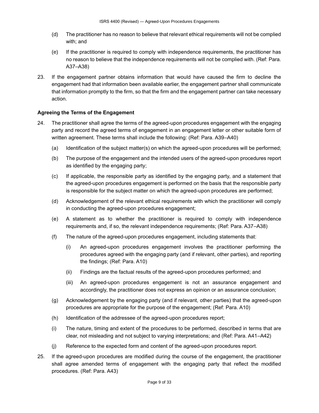- (d) The practitioner has no reason to believe that relevant ethical requirements will not be complied with; and
- (e) If the practitioner is required to comply with independence requirements, the practitioner has no reason to believe that the independence requirements will not be complied with. (Ref: Para. A37–A38)
- <span id="page-8-0"></span>23. If the engagement partner obtains information that would have caused the firm to decline the engagement had that information been available earlier, the engagement partner shall communicate that information promptly to the firm, so that the firm and the engagement partner can take necessary action.

# **Agreeing the Terms of the Engagement**

- 24. The practitioner shall agree the terms of the agreed-upon procedures engagement with the engaging party and record the agreed terms of engagement in an engagement letter or other suitable form of written agreement. These terms shall include the following: (Ref: Para. A39–A40)
	- (a) Identification of the subject matter(s) on which the agreed-upon procedures will be performed;
	- (b) The purpose of the engagement and the intended users of the agreed-upon procedures report as identified by the engaging party;
	- (c) If applicable, the responsible party as identified by the engaging party, and a statement that the agreed-upon procedures engagement is performed on the basis that the responsible party is responsible for the subject matter on which the agreed-upon procedures are performed;
	- (d) Acknowledgement of the relevant ethical requirements with which the practitioner will comply in conducting the agreed-upon procedures engagement;
	- (e) A statement as to whether the practitioner is required to comply with independence requirements and, if so, the relevant independence requirements; (Ref: Para. A37–A38)
	- (f) The nature of the agreed-upon procedures engagement, including statements that:
		- (i) An agreed-upon procedures engagement involves the practitioner performing the procedures agreed with the engaging party (and if relevant, other parties), and reporting the findings; (Ref: Para. A10)
		- (ii) Findings are the factual results of the agreed-upon procedures performed; and
		- (iii) An agreed-upon procedures engagement is not an assurance engagement and accordingly, the practitioner does not express an opinion or an assurance conclusion;
	- (g) Acknowledgement by the engaging party (and if relevant, other parties) that the agreed-upon procedures are appropriate for the purpose of the engagement; (Ref: Para. A10)
	- (h) Identification of the addressee of the agreed-upon procedures report;
	- (i) The nature, timing and extent of the procedures to be performed, described in terms that are clear, not misleading and not subject to varying interpretations; and (Ref: Para. A41–A42)
	- (j) Reference to the expected form and content of the agreed-upon procedures report.
- 25. If the agreed-upon procedures are modified during the course of the engagement, the practitioner shall agree amended terms of engagement with the engaging party that reflect the modified procedures. (Ref: Para. A43)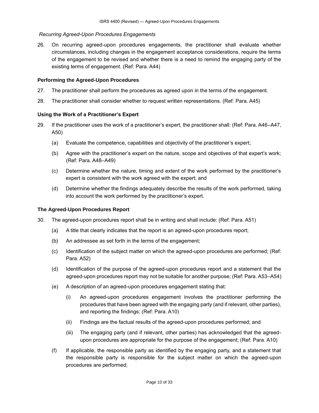# *Recurring Agreed-Upon Procedures Engagements*

26. On recurring agreed-upon procedures engagements, the practitioner shall evaluate whether circumstances, including changes in the engagement acceptance considerations, require the terms of the engagement to be revised and whether there is a need to remind the engaging party of the existing terms of engagement. (Ref: Para. A44)

### <span id="page-9-0"></span>**Performing the Agreed-Upon Procedures**

- 27. The practitioner shall perform the procedures as agreed upon in the terms of the engagement.
- <span id="page-9-1"></span>28. The practitioner shall consider whether to request written representations. (Ref: Para. A45)

### **Using the Work of a Practitioner's Expert**

- 29. If the practitioner uses the work of a practitioner's expert, the practitioner shall: (Ref: Para. A46–A47, A50)
	- (a) Evaluate the competence, capabilities and objectivity of the practitioner's expert;
	- (b) Agree with the practitioner's expert on the nature, scope and objectives of that expert's work; (Ref: Para. A48–A49)
	- (c) Determine whether the nature, timing and extent of the work performed by the practitioner's expert is consistent with the work agreed with the expert; and
	- (d) Determine whether the findings adequately describe the results of the work performed, taking into account the work performed by the practitioner's expert.

#### <span id="page-9-2"></span>**The Agreed-Upon Procedures Report**

- 30. The agreed-upon procedures report shall be in writing and shall include: (Ref: Para. A51)
	- (a) A title that clearly indicates that the report is an agreed-upon procedures report;
	- (b) An addressee as set forth in the terms of the engagement;
	- (c) Identification of the subject matter on which the agreed-upon procedures are performed; (Ref: Para. A52)
	- (d) Identification of the purpose of the agreed-upon procedures report and a statement that the agreed-upon procedures report may not be suitable for another purpose; (Ref: Para. A53–A54)
	- (e) A description of an agreed-upon procedures engagement stating that:
		- (i) An agreed-upon procedures engagement involves the practitioner performing the procedures that have been agreed with the engaging party (and if relevant, other parties), and reporting the findings; (Ref: Para. A10)
		- (ii) Findings are the factual results of the agreed-upon procedures performed; and
		- (iii) The engaging party (and if relevant, other parties) has acknowledged that the agreedupon procedures are appropriate for the purpose of the engagement; (Ref: Para. A10)
	- (f) If applicable, the responsible party as identified by the engaging party, and a statement that the responsible party is responsible for the subject matter on which the agreed-upon procedures are performed;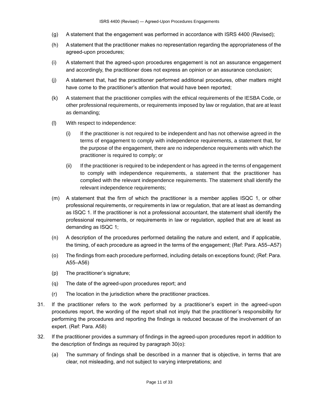- (g) A statement that the engagement was performed in accordance with ISRS 4400 (Revised);
- (h) A statement that the practitioner makes no representation regarding the appropriateness of the agreed-upon procedures;
- (i) A statement that the agreed-upon procedures engagement is not an assurance engagement and accordingly, the practitioner does not express an opinion or an assurance conclusion;
- (j) A statement that, had the practitioner performed additional procedures, other matters might have come to the practitioner's attention that would have been reported;
- (k) A statement that the practitioner complies with the ethical requirements of the IESBA Code, or other professional requirements, or requirements imposed by law or regulation, that are at least as demanding;
- (l) With respect to independence:
	- (i) If the practitioner is not required to be independent and has not otherwise agreed in the terms of engagement to comply with independence requirements, a statement that, for the purpose of the engagement, there are no independence requirements with which the practitioner is required to comply; or
	- (ii) If the practitioner is required to be independent or has agreed in the terms of engagement to comply with independence requirements, a statement that the practitioner has complied with the relevant independence requirements. The statement shall identify the relevant independence requirements;
- (m) A statement that the firm of which the practitioner is a member applies ISQC 1, or other professional requirements, or requirements in law or regulation, that are at least as demanding as ISQC 1. If the practitioner is not a professional accountant, the statement shall identify the professional requirements, or requirements in law or regulation, applied that are at least as demanding as ISQC 1;
- (n) A description of the procedures performed detailing the nature and extent, and if applicable, the timing, of each procedure as agreed in the terms of the engagement; (Ref: Para. A55–A57)
- (o) The findings from each procedure performed, including details on exceptions found; (Ref: Para. A55–A56)
- (p) The practitioner's signature;
- (q) The date of the agreed-upon procedures report; and
- (r) The location in the jurisdiction where the practitioner practices.
- 31. If the practitioner refers to the work performed by a practitioner's expert in the agreed-upon procedures report, the wording of the report shall not imply that the practitioner's responsibility for performing the procedures and reporting the findings is reduced because of the involvement of an expert. (Ref: Para. A58)
- 32. If the practitioner provides a summary of findings in the agreed-upon procedures report in addition to the description of findings as required by paragraph 30(o):
	- (a) The summary of findings shall be described in a manner that is objective, in terms that are clear, not misleading, and not subject to varying interpretations; and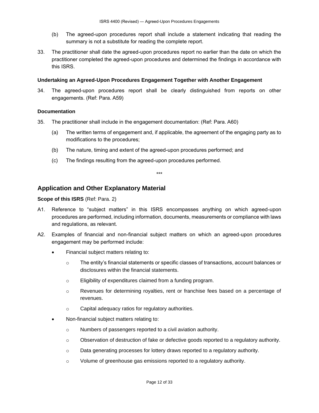- (b) The agreed-upon procedures report shall include a statement indicating that reading the summary is not a substitute for reading the complete report.
- 33. The practitioner shall date the agreed-upon procedures report no earlier than the date on which the practitioner completed the agreed-upon procedures and determined the findings in accordance with this ISRS.

### <span id="page-11-0"></span>**Undertaking an Agreed-Upon Procedures Engagement Together with Another Engagement**

34. The agreed-upon procedures report shall be clearly distinguished from reports on other engagements. (Ref: Para. A59)

### <span id="page-11-1"></span>**Documentation**

- 35. The practitioner shall include in the engagement documentation: (Ref: Para. A60)
	- (a) The written terms of engagement and, if applicable, the agreement of the engaging party as to modifications to the procedures;
	- (b) The nature, timing and extent of the agreed-upon procedures performed; and
	- (c) The findings resulting from the agreed-upon procedures performed.

# **Application and Other Explanatory Material**

### <span id="page-11-2"></span>**Scope of this ISRS** (Ref: Para. 2)

A1. Reference to "subject matters" in this ISRS encompasses anything on which agreed-upon procedures are performed, including information, documents, measurements or compliance with laws and regulations, as relevant.

\*\*\*

- A2. Examples of financial and non-financial subject matters on which an agreed-upon procedures engagement may be performed include:
	- Financial subject matters relating to:
		- o The entity's financial statements or specific classes of transactions, account balances or disclosures within the financial statements.
		- o Eligibility of expenditures claimed from a funding program.
		- o Revenues for determining royalties, rent or franchise fees based on a percentage of revenues.
		- o Capital adequacy ratios for regulatory authorities.
	- Non-financial subject matters relating to:
		- o Numbers of passengers reported to a civil aviation authority.
		- $\circ$  Observation of destruction of fake or defective goods reported to a regulatory authority.
		- o Data generating processes for lottery draws reported to a regulatory authority.
		- o Volume of greenhouse gas emissions reported to a regulatory authority.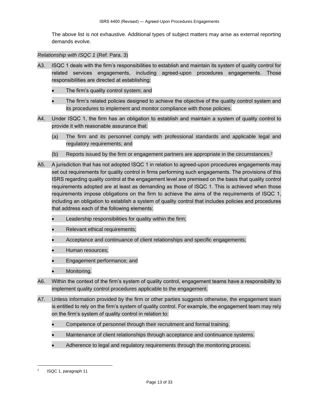The above list is not exhaustive. Additional types of subject matters may arise as external reporting demands evolve.

*Relationship with ISQC 1* (Ref: Para. 3)

- A3. ISQC 1 deals with the firm's responsibilities to establish and maintain its system of quality control for related services engagements, including agreed-upon procedures engagements. Those responsibilities are directed at establishing:
	- The firm's quality control system; and
	- The firm's related policies designed to achieve the objective of the quality control system and its procedures to implement and monitor compliance with those policies.
- A4. Under ISQC 1, the firm has an obligation to establish and maintain a system of quality control to provide it with reasonable assurance that:
	- (a) The firm and its personnel comply with professional standards and applicable legal and regulatory requirements; and
	- (b) Reports issued by the firm or engagement partners are appropriate in the circumstances.<sup>2</sup>
- A5. A jurisdiction that has not adopted ISQC 1 in relation to agreed-upon procedures engagements may set out requirements for quality control in firms performing such engagements. The provisions of this ISRS regarding quality control at the engagement level are premised on the basis that quality control requirements adopted are at least as demanding as those of ISQC 1. This is achieved when those requirements impose obligations on the firm to achieve the aims of the requirements of ISQC 1, including an obligation to establish a system of quality control that includes policies and procedures that address each of the following elements:
	- Leadership responsibilities for quality within the firm:
	- Relevant ethical requirements;
	- Acceptance and continuance of client relationships and specific engagements;
	- Human resources;
	- Engagement performance; and
	- Monitoring.
- A6. Within the context of the firm's system of quality control, engagement teams have a responsibility to implement quality control procedures applicable to the engagement.
- A7. Unless information provided by the firm or other parties suggests otherwise, the engagement team is entitled to rely on the firm's system of quality control. For example, the engagement team may rely on the firm's system of quality control in relation to:
	- Competence of personnel through their recruitment and formal training.
	- Maintenance of client relationships through acceptance and continuance systems.
	- Adherence to legal and regulatory requirements through the monitoring process.

<sup>2</sup> ISQC 1, paragraph 11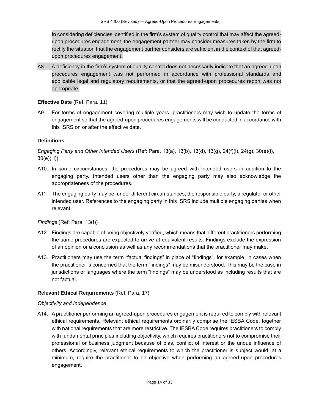In considering deficiencies identified in the firm's system of quality control that may affect the agreedupon procedures engagement, the engagement partner may consider measures taken by the firm to rectify the situation that the engagement partner considers are sufficient in the context of that agreedupon procedures engagement.

A8. A deficiency in the firm's system of quality control does not necessarily indicate that an agreed-upon procedures engagement was not performed in accordance with professional standards and applicable legal and regulatory requirements, or that the agreed-upon procedures report was not appropriate.

# **Effective Date** (Ref: Para. 11)

A9. For terms of engagement covering multiple years, practitioners may wish to update the terms of engagement so that the agreed-upon procedures engagements will be conducted in accordance with this ISRS on or after the effective date.

# <span id="page-13-0"></span>**Definitions**

*Engaging Party and Other Intended Users* (Ref: Para. 13(a), 13(b), 13(d), 13(g), 24(f)(i), 24(g), 30(e)(i), 30(e)(iii))

- A10. In some circumstances, the procedures may be agreed with intended users in addition to the engaging party. Intended users other than the engaging party may also acknowledge the appropriateness of the procedures.
- A11. The engaging party may be, under different circumstances, the responsible party, a regulator or other intended user. References to the engaging party in this ISRS include multiple engaging parties when relevant.

*Findings* (Ref: Para. 13(f))

- A12. Findings are capable of being objectively verified, which means that different practitioners performing the same procedures are expected to arrive at equivalent results. Findings exclude the expression of an opinion or a conclusion as well as any recommendations that the practitioner may make.
- A13. Practitioners may use the term "factual findings" in place of "findings", for example, in cases when the practitioner is concerned that the term "findings" may be misunderstood. This may be the case in jurisdictions or languages where the term "findings" may be understood as including results that are not factual.

# <span id="page-13-1"></span>**Relevant Ethical Requirements** (Ref: Para. 17)

# *Objectivity and Independence*

A14. A practitioner performing an agreed-upon procedures engagement is required to comply with relevant ethical requirements. Relevant ethical requirements ordinarily comprise the IESBA Code, together with national requirements that are more restrictive. The IESBA Code requires practitioners to comply with fundamental principles including objectivity, which requires practitioners not to compromise their professional or business judgment because of bias, conflict of interest or the undue influence of others. Accordingly, relevant ethical requirements to which the practitioner is subject would, at a minimum, require the practitioner to be objective when performing an agreed-upon procedures engagement.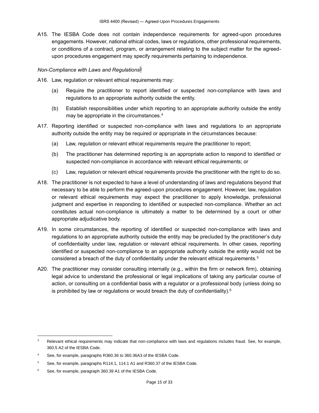A15. The IESBA Code does not contain independence requirements for agreed-upon procedures engagements. However, national ethical codes, laws or regulations, other professional requirements, or conditions of a contract, program, or arrangement relating to the subject matter for the agreedupon procedures engagement may specify requirements pertaining to independence.

# *Non-Compliance with Laws and Regulations*<sup>3</sup>

- A16. Law, regulation or relevant ethical requirements may:
	- (a) Require the practitioner to report identified or suspected non-compliance with laws and regulations to an appropriate authority outside the entity.
	- (b) Establish responsibilities under which reporting to an appropriate authority outside the entity may be appropriate in the circumstances.<sup>4</sup>
- A17. Reporting identified or suspected non-compliance with laws and regulations to an appropriate authority outside the entity may be required or appropriate in the circumstances because:
	- (a) Law, regulation or relevant ethical requirements require the practitioner to report;
	- (b) The practitioner has determined reporting is an appropriate action to respond to identified or suspected non-compliance in accordance with relevant ethical requirements; or
	- (c) Law, regulation or relevant ethical requirements provide the practitioner with the right to do so.
- A18. The practitioner is not expected to have a level of understanding of laws and regulations beyond that necessary to be able to perform the agreed-upon procedures engagement. However, law, regulation or relevant ethical requirements may expect the practitioner to apply knowledge, professional judgment and expertise in responding to identified or suspected non-compliance. Whether an act constitutes actual non-compliance is ultimately a matter to be determined by a court or other appropriate adjudicative body.
- A19. In some circumstances, the reporting of identified or suspected non-compliance with laws and regulations to an appropriate authority outside the entity may be precluded by the practitioner's duty of confidentiality under law, regulation or relevant ethical requirements. In other cases, reporting identified or suspected non-compliance to an appropriate authority outside the entity would not be considered a breach of the duty of confidentiality under the relevant ethical requirements.<sup>5</sup>
- A20. The practitioner may consider consulting internally (e.g., within the firm or network firm), obtaining legal advice to understand the professional or legal implications of taking any particular course of action, or consulting on a confidential basis with a regulator or a professional body (unless doing so is prohibited by law or regulations or would breach the duty of confidentiality).<sup>6</sup>

<sup>&</sup>lt;sup>3</sup> Relevant ethical requirements may indicate that non-compliance with laws and regulations includes fraud. See, for example, 360.5 A2 of the IESBA Code.

<sup>4</sup> See, for example, paragraphs R360.36 to 360.36A3 of the IESBA Code.

<sup>&</sup>lt;sup>5</sup> See, for example, paragraphs R114.1, 114.1 A1 and R360.37 of the IESBA Code.

<sup>6</sup> See, for example, paragraph 360.39 A1 of the IESBA Code.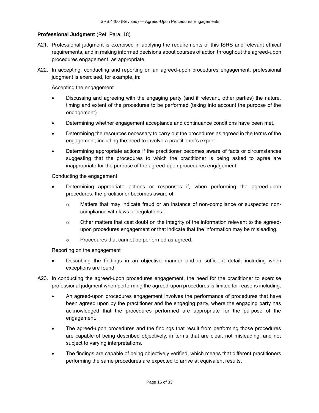# <span id="page-15-0"></span>**Professional Judgment (Ref: Para. 18)**

- A21. Professional judgment is exercised in applying the requirements of this ISRS and relevant ethical requirements, and in making informed decisions about courses of action throughout the agreed-upon procedures engagement, as appropriate.
- A22. In accepting, conducting and reporting on an agreed-upon procedures engagement, professional judgment is exercised, for example, in:

Accepting the engagement

- Discussing and agreeing with the engaging party (and if relevant, other parties) the nature, timing and extent of the procedures to be performed (taking into account the purpose of the engagement).
- Determining whether engagement acceptance and continuance conditions have been met.
- Determining the resources necessary to carry out the procedures as agreed in the terms of the engagement, including the need to involve a practitioner's expert.
- Determining appropriate actions if the practitioner becomes aware of facts or circumstances suggesting that the procedures to which the practitioner is being asked to agree are inappropriate for the purpose of the agreed-upon procedures engagement.

Conducting the engagement

- Determining appropriate actions or responses if, when performing the agreed-upon procedures, the practitioner becomes aware of:
	- o Matters that may indicate fraud or an instance of non-compliance or suspected noncompliance with laws or regulations.
	- $\circ$  Other matters that cast doubt on the integrity of the information relevant to the agreedupon procedures engagement or that indicate that the information may be misleading.
	- o Procedures that cannot be performed as agreed.

Reporting on the engagement

- Describing the findings in an objective manner and in sufficient detail, including when exceptions are found.
- A23. In conducting the agreed-upon procedures engagement, the need for the practitioner to exercise professional judgment when performing the agreed-upon procedures is limited for reasons including:
	- An agreed-upon procedures engagement involves the performance of procedures that have been agreed upon by the practitioner and the engaging party, where the engaging party has acknowledged that the procedures performed are appropriate for the purpose of the engagement.
	- The agreed-upon procedures and the findings that result from performing those procedures are capable of being described objectively, in terms that are clear, not misleading, and not subject to varying interpretations.
	- The findings are capable of being objectively verified, which means that different practitioners performing the same procedures are expected to arrive at equivalent results.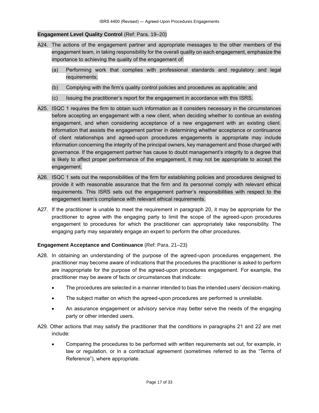### <span id="page-16-0"></span>**Engagement Level Quality Control** (Ref: Para. 19–20)

- A24. The actions of the engagement partner and appropriate messages to the other members of the engagement team, in taking responsibility for the overall quality on each engagement, emphasize the importance to achieving the quality of the engagement of:
	- (a) Performing work that complies with professional standards and regulatory and legal requirements;
	- (b) Complying with the firm's quality control policies and procedures as applicable; and
	- (c) Issuing the practitioner's report for the engagement in accordance with this ISRS.
- A25. ISQC 1 requires the firm to obtain such information as it considers necessary in the circumstances before accepting an engagement with a new client, when deciding whether to continue an existing engagement, and when considering acceptance of a new engagement with an existing client. Information that assists the engagement partner in determining whether acceptance or continuance of client relationships and agreed-upon procedures engagements is appropriate may include information concerning the integrity of the principal owners, key management and those charged with governance. If the engagement partner has cause to doubt management's integrity to a degree that is likely to affect proper performance of the engagement, it may not be appropriate to accept the engagement.
- A26. ISQC 1 sets out the responsibilities of the firm for establishing policies and procedures designed to provide it with reasonable assurance that the firm and its personnel comply with relevant ethical requirements. This ISRS sets out the engagement partner's responsibilities with respect to the engagement team's compliance with relevant ethical requirements.
- A27. If the practitioner is unable to meet the requirement in paragraph 20, it may be appropriate for the practitioner to agree with the engaging party to limit the scope of the agreed-upon procedures engagement to procedures for which the practitioner can appropriately take responsibility. The engaging party may separately engage an expert to perform the other procedures.

#### <span id="page-16-1"></span>**Engagement Acceptance and Continuance** (Ref: Para. 21–23)

- A28. In obtaining an understanding of the purpose of the agreed-upon procedures engagement, the practitioner may become aware of indications that the procedures the practitioner is asked to perform are inappropriate for the purpose of the agreed-upon procedures engagement. For example, the practitioner may be aware of facts or circumstances that indicate:
	- The procedures are selected in a manner intended to bias the intended users' decision-making.
	- The subject matter on which the agreed-upon procedures are performed is unreliable.
	- An assurance engagement or advisory service may better serve the needs of the engaging party or other intended users.
- A29. Other actions that may satisfy the practitioner that the conditions in paragraphs 21 and 22 are met include:
	- Comparing the procedures to be performed with written requirements set out, for example, in law or regulation, or in a contractual agreement (sometimes referred to as the "Terms of Reference"), where appropriate.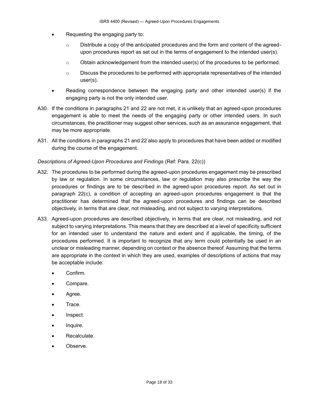- Requesting the engaging party to:
	- $\circ$  Distribute a copy of the anticipated procedures and the form and content of the agreedupon procedures report as set out in the terms of engagement to the intended user(s).
	- $\circ$  Obtain acknowledgement from the intended user(s) of the procedures to be performed.
	- $\circ$  Discuss the procedures to be performed with appropriate representatives of the intended user(s).
- Reading correspondence between the engaging party and other intended user(s) if the engaging party is not the only intended user.
- A30. If the conditions in paragraphs 21 and 22 are not met, it is unlikely that an agreed-upon procedures engagement is able to meet the needs of the engaging party or other intended users. In such circumstances, the practitioner may suggest other services, such as an assurance engagement, that may be more appropriate.
- A31. All the conditions in paragraphs 21 and 22 also apply to procedures that have been added or modified during the course of the engagement.

# *Descriptions of Agreed-Upon Procedures and Findings* (Ref: Para. 22(c))

- A32. The procedures to be performed during the agreed-upon procedures engagement may be prescribed by law or regulation. In some circumstances, law or regulation may also prescribe the way the procedures or findings are to be described in the agreed-upon procedures report. As set out in paragraph 22(c), a condition of accepting an agreed-upon procedures engagement is that the practitioner has determined that the agreed-upon procedures and findings can be described objectively, in terms that are clear, not misleading, and not subject to varying interpretations.
- A33. Agreed-upon procedures are described objectively, in terms that are clear, not misleading, and not subject to varying interpretations. This means that they are described at a level of specificity sufficient for an intended user to understand the nature and extent and if applicable, the timing, of the procedures performed. It is important to recognize that any term could potentially be used in an unclear or misleading manner, depending on context or the absence thereof. Assuming that the terms are appropriate in the context in which they are used, examples of descriptions of actions that may be acceptable include:
	- Confirm.
	- Compare.
	- Agree.
	- Trace.
	- Inspect.
	- Inquire.
	- Recalculate.
	- Observe.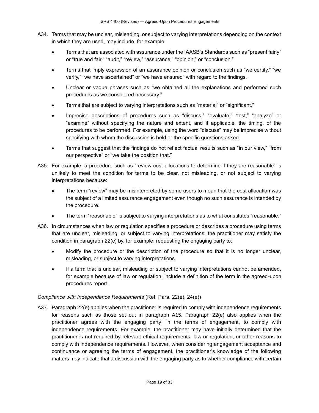- A34. Terms that may be unclear, misleading, or subject to varying interpretations depending on the context in which they are used, may include, for example:
	- Terms that are associated with assurance under the IAASB's Standards such as "present fairly" or "true and fair," "audit," "review," "assurance," "opinion," or "conclusion."
	- Terms that imply expression of an assurance opinion or conclusion such as "we certify," "we verify," "we have ascertained" or "we have ensured" with regard to the findings.
	- Unclear or vague phrases such as "we obtained all the explanations and performed such procedures as we considered necessary."
	- Terms that are subject to varying interpretations such as "material" or "significant."
	- Imprecise descriptions of procedures such as "discuss," "evaluate," "test," "analyze" or "examine" without specifying the nature and extent, and if applicable, the timing, of the procedures to be performed. For example, using the word "discuss" may be imprecise without specifying with whom the discussion is held or the specific questions asked.
	- Terms that suggest that the findings do not reflect factual results such as "in our view," "from our perspective" or "we take the position that."
- A35. For example, a procedure such as "review cost allocations to determine if they are reasonable" is unlikely to meet the condition for terms to be clear, not misleading, or not subject to varying interpretations because:
	- The term "review" may be misinterpreted by some users to mean that the cost allocation was the subject of a limited assurance engagement even though no such assurance is intended by the procedure.
	- The term "reasonable" is subject to varying interpretations as to what constitutes "reasonable."
- A36. In circumstances when law or regulation specifies a procedure or describes a procedure using terms that are unclear, misleading, or subject to varying interpretations, the practitioner may satisfy the condition in paragraph 22(c) by, for example, requesting the engaging party to:
	- Modify the procedure or the description of the procedure so that it is no longer unclear, misleading, or subject to varying interpretations.
	- If a term that is unclear, misleading or subject to varying interpretations cannot be amended, for example because of law or regulation, include a definition of the term in the agreed-upon procedures report.

# *Compliance with Independence Requirements* (Ref: Para. 22(e), 24(e))

A37. Paragraph 22(e) applies when the practitioner is required to comply with independence requirements for reasons such as those set out in paragraph A15. Paragraph 22(e) also applies when the practitioner agrees with the engaging party, in the terms of engagement, to comply with independence requirements. For example, the practitioner may have initially determined that the practitioner is not required by relevant ethical requirements, law or regulation, or other reasons to comply with independence requirements. However, when considering engagement acceptance and continuance or agreeing the terms of engagement, the practitioner's knowledge of the following matters may indicate that a discussion with the engaging party as to whether compliance with certain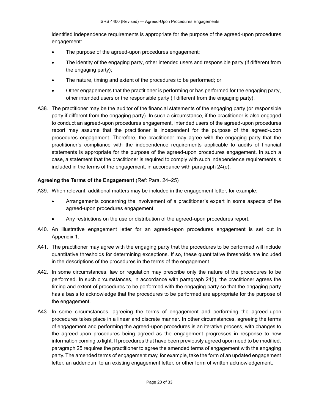identified independence requirements is appropriate for the purpose of the agreed-upon procedures engagement:

- The purpose of the agreed-upon procedures engagement;
- The identity of the engaging party, other intended users and responsible party (if different from the engaging party);
- The nature, timing and extent of the procedures to be performed; or
- Other engagements that the practitioner is performing or has performed for the engaging party, other intended users or the responsible party (if different from the engaging party).
- A38. The practitioner may be the auditor of the financial statements of the engaging party (or responsible party if different from the engaging party). In such a circumstance, if the practitioner is also engaged to conduct an agreed-upon procedures engagement, intended users of the agreed-upon procedures report may assume that the practitioner is independent for the purpose of the agreed-upon procedures engagement. Therefore, the practitioner may agree with the engaging party that the practitioner's compliance with the independence requirements applicable to audits of financial statements is appropriate for the purpose of the agreed-upon procedures engagement. In such a case, a statement that the practitioner is required to comply with such independence requirements is included in the terms of the engagement, in accordance with paragraph 24(e).

# <span id="page-19-0"></span>**Agreeing the Terms of the Engagement** (Ref: Para. 24–25)

- A39. When relevant, additional matters may be included in the engagement letter, for example:
	- Arrangements concerning the involvement of a practitioner's expert in some aspects of the agreed-upon procedures engagement.
	- Any restrictions on the use or distribution of the agreed-upon procedures report.
- A40. An illustrative engagement letter for an agreed-upon procedures engagement is set out in Appendix 1.
- A41. The practitioner may agree with the engaging party that the procedures to be performed will include quantitative thresholds for determining exceptions. If so, these quantitative thresholds are included in the descriptions of the procedures in the terms of the engagement.
- A42. In some circumstances, law or regulation may prescribe only the nature of the procedures to be performed. In such circumstances, in accordance with paragraph 24(i), the practitioner agrees the timing and extent of procedures to be performed with the engaging party so that the engaging party has a basis to acknowledge that the procedures to be performed are appropriate for the purpose of the engagement.
- A43. In some circumstances, agreeing the terms of engagement and performing the agreed-upon procedures takes place in a linear and discrete manner. In other circumstances, agreeing the terms of engagement and performing the agreed-upon procedures is an iterative process, with changes to the agreed-upon procedures being agreed as the engagement progresses in response to new information coming to light. If procedures that have been previously agreed upon need to be modified, paragraph 25 requires the practitioner to agree the amended terms of engagement with the engaging party. The amended terms of engagement may, for example, take the form of an updated engagement letter, an addendum to an existing engagement letter, or other form of written acknowledgement.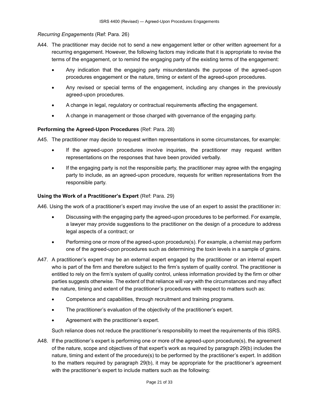# *Recurring Engagements* (Ref: Para. 26)

- A44. The practitioner may decide not to send a new engagement letter or other written agreement for a recurring engagement. However, the following factors may indicate that it is appropriate to revise the terms of the engagement, or to remind the engaging party of the existing terms of the engagement:
	- Any indication that the engaging party misunderstands the purpose of the agreed-upon procedures engagement or the nature, timing or extent of the agreed-upon procedures.
	- Any revised or special terms of the engagement, including any changes in the previously agreed-upon procedures.
	- A change in legal, regulatory or contractual requirements affecting the engagement.
	- A change in management or those charged with governance of the engaging party.

# <span id="page-20-0"></span>**Performing the Agreed-Upon Procedures** (Ref: Para. 28)

A45. The practitioner may decide to request written representations in some circumstances, for example:

- If the agreed-upon procedures involve inquiries, the practitioner may request written representations on the responses that have been provided verbally.
- If the engaging party is not the responsible party, the practitioner may agree with the engaging party to include, as an agreed-upon procedure, requests for written representations from the responsible party.

### <span id="page-20-1"></span>**Using the Work of a Practitioner's Expert** (Ref: Para. 29)

A46. Using the work of a practitioner's expert may involve the use of an expert to assist the practitioner in:

- Discussing with the engaging party the agreed-upon procedures to be performed. For example, a lawyer may provide suggestions to the practitioner on the design of a procedure to address legal aspects of a contract; or
- Performing one or more of the agreed-upon procedure(s). For example, a chemist may perform one of the agreed-upon procedures such as determining the toxin levels in a sample of grains.
- A47. A practitioner's expert may be an external expert engaged by the practitioner or an internal expert who is part of the firm and therefore subject to the firm's system of quality control. The practitioner is entitled to rely on the firm's system of quality control, unless information provided by the firm or other parties suggests otherwise. The extent of that reliance will vary with the circumstances and may affect the nature, timing and extent of the practitioner's procedures with respect to matters such as:
	- Competence and capabilities, through recruitment and training programs.
	- The practitioner's evaluation of the objectivity of the practitioner's expert.
	- Agreement with the practitioner's expert.

Such reliance does not reduce the practitioner's responsibility to meet the requirements of this ISRS.

A48. If the practitioner's expert is performing one or more of the agreed-upon procedure(s), the agreement of the nature, scope and objectives of that expert's work as required by paragraph 29(b) includes the nature, timing and extent of the procedure(s) to be performed by the practitioner's expert. In addition to the matters required by paragraph 29(b), it may be appropriate for the practitioner's agreement with the practitioner's expert to include matters such as the following: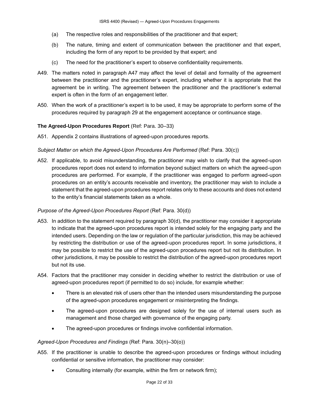- (a) The respective roles and responsibilities of the practitioner and that expert;
- (b) The nature, timing and extent of communication between the practitioner and that expert, including the form of any report to be provided by that expert; and
- (c) The need for the practitioner's expert to observe confidentiality requirements.
- A49. The matters noted in paragraph A47 may affect the level of detail and formality of the agreement between the practitioner and the practitioner's expert, including whether it is appropriate that the agreement be in writing. The agreement between the practitioner and the practitioner's external expert is often in the form of an engagement letter.
- A50. When the work of a practitioner's expert is to be used, it may be appropriate to perform some of the procedures required by paragraph 29 at the engagement acceptance or continuance stage.

# <span id="page-21-0"></span>**The Agreed-Upon Procedures Report** (Ref: Para. 30–33)

A51. Appendix 2 contains illustrations of agreed-upon procedures reports.

### *Subject Matter on which the Agreed-Upon Procedures Are Performed* (Ref: Para. 30(c))

A52. If applicable, to avoid misunderstanding, the practitioner may wish to clarify that the agreed-upon procedures report does not extend to information beyond subject matters on which the agreed-upon procedures are performed. For example, if the practitioner was engaged to perform agreed-upon procedures on an entity's accounts receivable and inventory, the practitioner may wish to include a statement that the agreed-upon procedures report relates only to these accounts and does not extend to the entity's financial statements taken as a whole.

# *Purpose of the Agreed-Upon Procedures Report* (Ref: Para. 30(d))

- A53. In addition to the statement required by paragraph 30(d), the practitioner may consider it appropriate to indicate that the agreed-upon procedures report is intended solely for the engaging party and the intended users. Depending on the law or regulation of the particular jurisdiction, this may be achieved by restricting the distribution or use of the agreed-upon procedures report. In some jurisdictions, it may be possible to restrict the use of the agreed-upon procedures report but not its distribution. In other jurisdictions, it may be possible to restrict the distribution of the agreed-upon procedures report but not its use.
- A54. Factors that the practitioner may consider in deciding whether to restrict the distribution or use of agreed-upon procedures report (if permitted to do so) include, for example whether:
	- There is an elevated risk of users other than the intended users misunderstanding the purpose of the agreed-upon procedures engagement or misinterpreting the findings.
	- The agreed-upon procedures are designed solely for the use of internal users such as management and those charged with governance of the engaging party.
	- The agreed-upon procedures or findings involve confidential information.

# *Agreed-Upon Procedures and Findings* (Ref: Para. 30(n)–30(o))

- A55. If the practitioner is unable to describe the agreed-upon procedures or findings without including confidential or sensitive information, the practitioner may consider:
	- Consulting internally (for example, within the firm or network firm);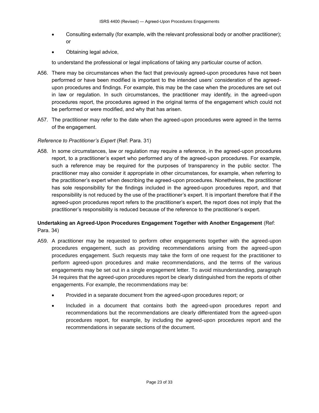- Consulting externally (for example, with the relevant professional body or another practitioner); or
- Obtaining legal advice,

to understand the professional or legal implications of taking any particular course of action.

- A56. There may be circumstances when the fact that previously agreed-upon procedures have not been performed or have been modified is important to the intended users' consideration of the agreedupon procedures and findings. For example, this may be the case when the procedures are set out in law or regulation. In such circumstances, the practitioner may identify, in the agreed-upon procedures report, the procedures agreed in the original terms of the engagement which could not be performed or were modified, and why that has arisen.
- A57. The practitioner may refer to the date when the agreed-upon procedures were agreed in the terms of the engagement.

# *Reference to Practitioner's Expert* (Ref: Para. 31)

A58. In some circumstances, law or regulation may require a reference, in the agreed-upon procedures report, to a practitioner's expert who performed any of the agreed-upon procedures. For example, such a reference may be required for the purposes of transparency in the public sector. The practitioner may also consider it appropriate in other circumstances, for example, when referring to the practitioner's expert when describing the agreed-upon procedures. Nonetheless, the practitioner has sole responsibility for the findings included in the agreed-upon procedures report, and that responsibility is not reduced by the use of the practitioner's expert. It is important therefore that if the agreed-upon procedures report refers to the practitioner's expert, the report does not imply that the practitioner's responsibility is reduced because of the reference to the practitioner's expert.

# <span id="page-22-0"></span>**Undertaking an Agreed-Upon Procedures Engagement Together with Another Engagement** (Ref: Para. 34)

- A59. A practitioner may be requested to perform other engagements together with the agreed-upon procedures engagement, such as providing recommendations arising from the agreed-upon procedures engagement. Such requests may take the form of one request for the practitioner to perform agreed-upon procedures and make recommendations, and the terms of the various engagements may be set out in a single engagement letter. To avoid misunderstanding, paragraph 34 requires that the agreed-upon procedures report be clearly distinguished from the reports of other engagements. For example, the recommendations may be:
	- Provided in a separate document from the agreed-upon procedures report; or
	- Included in a document that contains both the agreed-upon procedures report and recommendations but the recommendations are clearly differentiated from the agreed-upon procedures report, for example, by including the agreed-upon procedures report and the recommendations in separate sections of the document.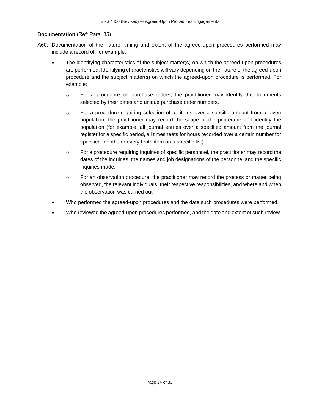#### <span id="page-23-0"></span>**Documentation** (Ref: Para. 35)

- A60. Documentation of the nature, timing and extent of the agreed-upon procedures performed may include a record of, for example:
	- The identifying characteristics of the subject matter(s) on which the agreed-upon procedures are performed. Identifying characteristics will vary depending on the nature of the agreed-upon procedure and the subject matter(s) on which the agreed-upon procedure is performed. For example:
		- o For a procedure on purchase orders, the practitioner may identify the documents selected by their dates and unique purchase order numbers.
		- $\circ$  For a procedure requiring selection of all items over a specific amount from a given population, the practitioner may record the scope of the procedure and identify the population (for example, all journal entries over a specified amount from the journal register for a specific period, all timesheets for hours recorded over a certain number for specified months or every tenth item on a specific list).
		- o For a procedure requiring inquiries of specific personnel, the practitioner may record the dates of the inquiries, the names and job designations of the personnel and the specific inquiries made.
		- $\circ$  For an observation procedure, the practitioner may record the process or matter being observed, the relevant individuals, their respective responsibilities, and where and when the observation was carried out.
	- Who performed the agreed-upon procedures and the date such procedures were performed.
	- Who reviewed the agreed-upon procedures performed, and the date and extent of such review.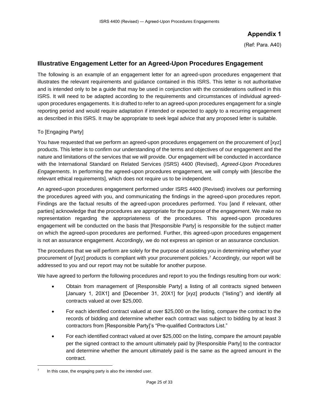# **Appendix 1**

(Ref: Para. A40)

# <span id="page-24-0"></span>**Illustrative Engagement Letter for an Agreed-Upon Procedures Engagement**

The following is an example of an engagement letter for an agreed-upon procedures engagement that illustrates the relevant requirements and guidance contained in this ISRS. This letter is not authoritative and is intended only to be a guide that may be used in conjunction with the considerations outlined in this ISRS. It will need to be adapted according to the requirements and circumstances of individual agreedupon procedures engagements. It is drafted to refer to an agreed-upon procedures engagement for a single reporting period and would require adaptation if intended or expected to apply to a recurring engagement as described in this ISRS. It may be appropriate to seek legal advice that any proposed letter is suitable.

# To [Engaging Party]

You have requested that we perform an agreed-upon procedures engagement on the procurement of [xyz] products. This letter is to confirm our understanding of the terms and objectives of our engagement and the nature and limitations of the services that we will provide. Our engagement will be conducted in accordance with the International Standard on Related Services (ISRS) 4400 (Revised), *Agreed-Upon Procedures Engagements*. In performing the agreed-upon procedures engagement, we will comply with [describe the relevant ethical requirements], which does not require us to be independent.

An agreed-upon procedures engagement performed under ISRS 4400 (Revised) involves our performing the procedures agreed with you, and communicating the findings in the agreed-upon procedures report. Findings are the factual results of the agreed-upon procedures performed. You [and if relevant, other parties] acknowledge that the procedures are appropriate for the purpose of the engagement. We make no representation regarding the appropriateness of the procedures. This agreed-upon procedures engagement will be conducted on the basis that [Responsible Party] is responsible for the subject matter on which the agreed-upon procedures are performed. Further, this agreed-upon procedures engagement is not an assurance engagement. Accordingly, we do not express an opinion or an assurance conclusion.

The procedures that we will perform are solely for the purpose of assisting you in determining whether your procurement of [xyz] products is compliant with your procurement policies.<sup>7</sup> Accordingly, our report will be addressed to you and our report may not be suitable for another purpose.

We have agreed to perform the following procedures and report to you the findings resulting from our work:

- Obtain from management of [Responsible Party] a listing of all contracts signed between [January 1, 20X1] and [December 31, 20X1] for [xyz] products ("listing") and identify all contracts valued at over \$25,000.
- For each identified contract valued at over \$25,000 on the listing, compare the contract to the records of bidding and determine whether each contract was subject to bidding by at least 3 contractors from [Responsible Party]'s "Pre-qualified Contractors List."
- For each identified contract valued at over \$25,000 on the listing, compare the amount payable per the signed contract to the amount ultimately paid by [Responsible Party] to the contractor and determine whether the amount ultimately paid is the same as the agreed amount in the contract.

<sup>7</sup> In this case, the engaging party is also the intended user.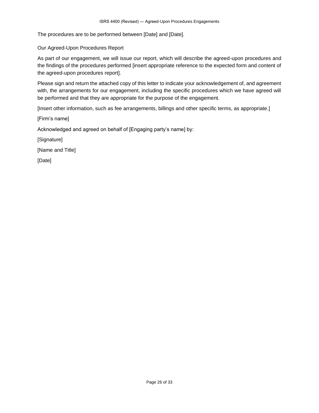The procedures are to be performed between [Date] and [Date].

### Our Agreed-Upon Procedures Report

As part of our engagement, we will issue our report, which will describe the agreed-upon procedures and the findings of the procedures performed [insert appropriate reference to the expected form and content of the agreed-upon procedures report].

Please sign and return the attached copy of this letter to indicate your acknowledgement of, and agreement with, the arrangements for our engagement, including the specific procedures which we have agreed will be performed and that they are appropriate for the purpose of the engagement.

[Insert other information, such as fee arrangements, billings and other specific terms, as appropriate.]

[Firm's name]

Acknowledged and agreed on behalf of [Engaging party's name] by:

[Signature]

[Name and Title]

[Date]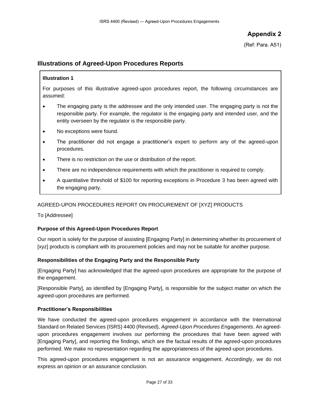**Appendix 2**

(Ref: Para. A51)

# <span id="page-26-0"></span>**Illustrations of Agreed-Upon Procedures Reports**

# **Illustration 1**

For purposes of this illustrative agreed-upon procedures report, the following circumstances are assumed:

- The engaging party is the addressee and the only intended user. The engaging party is not the responsible party. For example, the regulator is the engaging party and intended user, and the entity overseen by the regulator is the responsible party.
- No exceptions were found.
- The practitioner did not engage a practitioner's expert to perform any of the agreed-upon procedures.
- There is no restriction on the use or distribution of the report.
- There are no independence requirements with which the practitioner is required to comply.
- A quantitative threshold of \$100 for reporting exceptions in Procedure 3 has been agreed with the engaging party.

# AGREED-UPON PROCEDURES REPORT ON PROCUREMENT OF [XYZ] PRODUCTS

To [Addressee]

# **Purpose of this Agreed-Upon Procedures Report**

Our report is solely for the purpose of assisting [Engaging Party] in determining whether its procurement of [xyz] products is compliant with its procurement policies and may not be suitable for another purpose.

# **Responsibilities of the Engaging Party and the Responsible Party**

[Engaging Party] has acknowledged that the agreed-upon procedures are appropriate for the purpose of the engagement.

[Responsible Party], as identified by [Engaging Party], is responsible for the subject matter on which the agreed-upon procedures are performed.

# **Practitioner's Responsibilities**

We have conducted the agreed-upon procedures engagement in accordance with the International Standard on Related Services (ISRS) 4400 (Revised), *Agreed-Upon Procedures Engagements*. An agreedupon procedures engagement involves our performing the procedures that have been agreed with [Engaging Party], and reporting the findings, which are the factual results of the agreed-upon procedures performed. We make no representation regarding the appropriateness of the agreed-upon procedures.

This agreed-upon procedures engagement is not an assurance engagement. Accordingly, we do not express an opinion or an assurance conclusion.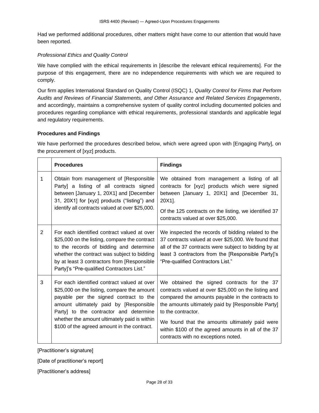Had we performed additional procedures, other matters might have come to our attention that would have been reported.

#### *Professional Ethics and Quality Control*

We have complied with the ethical requirements in [describe the relevant ethical requirements]. For the purpose of this engagement, there are no independence requirements with which we are required to comply.

Our firm applies International Standard on Quality Control (ISQC) 1, *Quality Control for Firms that Perform Audits and Reviews of Financial Statements, and Other Assurance and Related Services Engagements*, and accordingly, maintains a comprehensive system of quality control including documented policies and procedures regarding compliance with ethical requirements, professional standards and applicable legal and regulatory requirements.

### **Procedures and Findings**

We have performed the procedures described below, which were agreed upon with [Engaging Party], on the procurement of [xyz] products.

|                | <b>Procedures</b>                                                                                                                                                                                                                                                                                                       | <b>Findings</b>                                                                                                                                                                                                                                                                                                                                                                     |
|----------------|-------------------------------------------------------------------------------------------------------------------------------------------------------------------------------------------------------------------------------------------------------------------------------------------------------------------------|-------------------------------------------------------------------------------------------------------------------------------------------------------------------------------------------------------------------------------------------------------------------------------------------------------------------------------------------------------------------------------------|
| 1              | Obtain from management of [Responsible]<br>Party] a listing of all contracts signed<br>between [January 1, 20X1] and [December<br>31, 20X1] for [xyz] products ("listing") and<br>identify all contracts valued at over \$25,000.                                                                                       | We obtained from management a listing of all<br>contracts for [xyz] products which were signed<br>between [January 1, 20X1] and [December 31,<br>20X1].<br>Of the 125 contracts on the listing, we identified 37<br>contracts valued at over \$25,000.                                                                                                                              |
| $\overline{2}$ | For each identified contract valued at over<br>\$25,000 on the listing, compare the contract<br>to the records of bidding and determine<br>whether the contract was subject to bidding<br>by at least 3 contractors from [Responsible<br>Party]'s "Pre-qualified Contractors List."                                     | We inspected the records of bidding related to the<br>37 contracts valued at over \$25,000. We found that<br>all of the 37 contracts were subject to bidding by at<br>least 3 contractors from the [Responsible Party]'s<br>"Pre-qualified Contractors List."                                                                                                                       |
| 3              | For each identified contract valued at over<br>\$25,000 on the listing, compare the amount<br>payable per the signed contract to the<br>amount ultimately paid by [Responsible<br>Party] to the contractor and determine<br>whether the amount ultimately paid is within<br>\$100 of the agreed amount in the contract. | We obtained the signed contracts for the 37<br>contracts valued at over \$25,000 on the listing and<br>compared the amounts payable in the contracts to<br>the amounts ultimately paid by [Responsible Party]<br>to the contractor.<br>We found that the amounts ultimately paid were<br>within \$100 of the agreed amounts in all of the 37<br>contracts with no exceptions noted. |

[Practitioner's signature]

[Date of practitioner's report]

[Practitioner's address]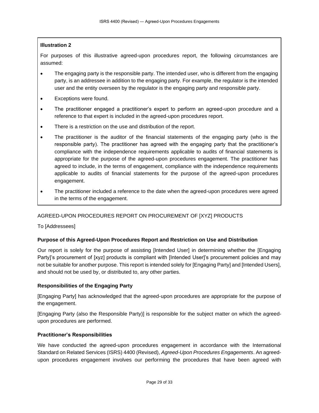# **Illustration 2**

For purposes of this illustrative agreed-upon procedures report, the following circumstances are assumed:

- The engaging party is the responsible party. The intended user, who is different from the engaging party, is an addressee in addition to the engaging party. For example, the regulator is the intended user and the entity overseen by the regulator is the engaging party and responsible party.
- Exceptions were found.
- The practitioner engaged a practitioner's expert to perform an agreed-upon procedure and a reference to that expert is included in the agreed-upon procedures report.
- There is a restriction on the use and distribution of the report.
- The practitioner is the auditor of the financial statements of the engaging party (who is the responsible party). The practitioner has agreed with the engaging party that the practitioner's compliance with the independence requirements applicable to audits of financial statements is appropriate for the purpose of the agreed-upon procedures engagement. The practitioner has agreed to include, in the terms of engagement, compliance with the independence requirements applicable to audits of financial statements for the purpose of the agreed-upon procedures engagement.
- The practitioner included a reference to the date when the agreed-upon procedures were agreed in the terms of the engagement.

# AGREED-UPON PROCEDURES REPORT ON PROCUREMENT OF [XYZ] PRODUCTS

To [Addressees]

# **Purpose of this Agreed-Upon Procedures Report and Restriction on Use and Distribution**

Our report is solely for the purpose of assisting [Intended User] in determining whether the [Engaging Party]'s procurement of [xyz] products is compliant with [Intended User]'s procurement policies and may not be suitable for another purpose. This report is intended solely for [Engaging Party] and [Intended Users], and should not be used by, or distributed to, any other parties.

# **Responsibilities of the Engaging Party**

[Engaging Party] has acknowledged that the agreed-upon procedures are appropriate for the purpose of the engagement.

[Engaging Party (also the Responsible Party)] is responsible for the subject matter on which the agreedupon procedures are performed.

# **Practitioner's Responsibilities**

We have conducted the agreed-upon procedures engagement in accordance with the International Standard on Related Services (ISRS) 4400 (Revised), *Agreed-Upon Procedures Engagements*. An agreedupon procedures engagement involves our performing the procedures that have been agreed with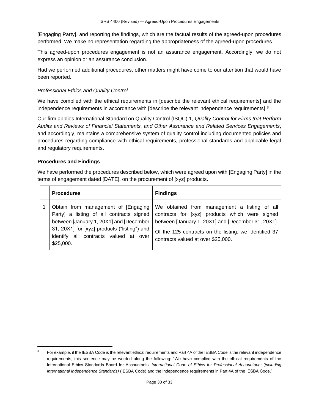[Engaging Party], and reporting the findings, which are the factual results of the agreed-upon procedures performed. We make no representation regarding the appropriateness of the agreed-upon procedures.

This agreed-upon procedures engagement is not an assurance engagement. Accordingly, we do not express an opinion or an assurance conclusion.

Had we performed additional procedures, other matters might have come to our attention that would have been reported.

# *Professional Ethics and Quality Control*

We have complied with the ethical requirements in [describe the relevant ethical requirements] and the independence requirements in accordance with [describe the relevant independence requirements].<sup>8</sup>

Our firm applies International Standard on Quality Control (ISQC) 1, *Quality Control for Firms that Perform Audits and Reviews of Financial Statements, and Other Assurance and Related Services Engagements*, and accordingly, maintains a comprehensive system of quality control including documented policies and procedures regarding compliance with ethical requirements, professional standards and applicable legal and regulatory requirements.

# **Procedures and Findings**

We have performed the procedures described below, which were agreed upon with [Engaging Party] in the terms of engagement dated [DATE], on the procurement of [xyz] products.

| <b>Procedures</b>                                                                                                                                                                                                                  | <b>Findings</b>                                                                                                                                                                                                                                     |
|------------------------------------------------------------------------------------------------------------------------------------------------------------------------------------------------------------------------------------|-----------------------------------------------------------------------------------------------------------------------------------------------------------------------------------------------------------------------------------------------------|
| Obtain from management of [Engaging  <br>Party] a listing of all contracts signed<br>between [January 1, 20X1] and [December<br>31, 20X1] for [xyz] products ("listing") and<br>identify all contracts valued at over<br>\$25,000. | We obtained from management a listing of all<br>contracts for [xyz] products which were signed<br>between [January 1, 20X1] and [December 31, 20X1].<br>Of the 125 contracts on the listing, we identified 37<br>contracts valued at over \$25,000. |

For example, if the IESBA Code is the relevant ethical requirements and Part 4A of the IESBA Code is the relevant independence requirements, this sentence may be worded along the following: "We have complied with the ethical requirements of the International Ethics Standards Board for Accountants' *International Code of Ethics for Professional Accountants* (*including International Independence Standards)* (IESBA Code) and the independence requirements in Part 4A of the IESBA Code."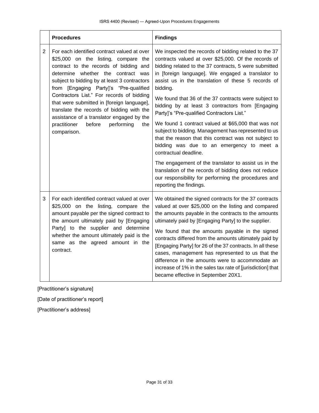|   | <b>Procedures</b>                                                                                                                                                                                                                                                                                                                                                                                                                                                                                                | <b>Findings</b>                                                                                                                                                                                                                                                                                                                                                                      |
|---|------------------------------------------------------------------------------------------------------------------------------------------------------------------------------------------------------------------------------------------------------------------------------------------------------------------------------------------------------------------------------------------------------------------------------------------------------------------------------------------------------------------|--------------------------------------------------------------------------------------------------------------------------------------------------------------------------------------------------------------------------------------------------------------------------------------------------------------------------------------------------------------------------------------|
| 2 | For each identified contract valued at over<br>\$25,000 on the listing, compare the<br>contract to the records of bidding and<br>determine whether the contract was<br>subject to bidding by at least 3 contractors<br>from [Engaging Party]'s "Pre-qualified<br>Contractors List." For records of bidding<br>that were submitted in [foreign language],<br>translate the records of bidding with the<br>assistance of a translator engaged by the<br>practitioner<br>before<br>performing<br>the<br>comparison. | We inspected the records of bidding related to the 37<br>contracts valued at over \$25,000. Of the records of<br>bidding related to the 37 contracts, 5 were submitted<br>in [foreign language]. We engaged a translator to<br>assist us in the translation of these 5 records of<br>bidding.<br>We found that 36 of the 37 contracts were subject to                                |
|   |                                                                                                                                                                                                                                                                                                                                                                                                                                                                                                                  | bidding by at least 3 contractors from [Engaging<br>Party]'s "Pre-qualified Contractors List."                                                                                                                                                                                                                                                                                       |
|   |                                                                                                                                                                                                                                                                                                                                                                                                                                                                                                                  | We found 1 contract valued at \$65,000 that was not<br>subject to bidding. Management has represented to us<br>that the reason that this contract was not subject to<br>bidding was due to an emergency to meet a<br>contractual deadline.                                                                                                                                           |
|   |                                                                                                                                                                                                                                                                                                                                                                                                                                                                                                                  | The engagement of the translator to assist us in the<br>translation of the records of bidding does not reduce<br>our responsibility for performing the procedures and<br>reporting the findings.                                                                                                                                                                                     |
| 3 | For each identified contract valued at over<br>\$25,000 on the listing, compare the<br>amount payable per the signed contract to<br>the amount ultimately paid by [Engaging<br>Party] to the supplier and determine<br>whether the amount ultimately paid is the<br>same as the agreed amount in the<br>contract.                                                                                                                                                                                                | We obtained the signed contracts for the 37 contracts<br>valued at over \$25,000 on the listing and compared<br>the amounts payable in the contracts to the amounts<br>ultimately paid by [Engaging Party] to the supplier.                                                                                                                                                          |
|   |                                                                                                                                                                                                                                                                                                                                                                                                                                                                                                                  | We found that the amounts payable in the signed<br>contracts differed from the amounts ultimately paid by<br>[Engaging Party] for 26 of the 37 contracts. In all these<br>cases, management has represented to us that the<br>difference in the amounts were to accommodate an<br>increase of 1% in the sales tax rate of [jurisdiction] that<br>became effective in September 20X1. |

[Practitioner's signature]

[Date of practitioner's report]

[Practitioner's address]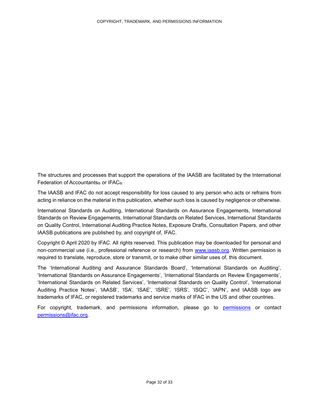<span id="page-31-0"></span>The structures and processes that support the operations of the IAASB are facilitated by the International Federation of Accountants® or IFAC®.

The IAASB and IFAC do not accept responsibility for loss caused to any person who acts or refrains from acting in reliance on the material in this publication, whether such loss is caused by negligence or otherwise.

International Standards on Auditing, International Standards on Assurance Engagements, International Standards on Review Engagements, International Standards on Related Services, International Standards on Quality Control, International Auditing Practice Notes, Exposure Drafts, Consultation Papers, and other IAASB publications are published by, and copyright of, IFAC.

Copyright © April 2020 by IFAC. All rights reserved. This publication may be downloaded for personal and non-commercial use (i.e., professional reference or research) from [www.iaasb.org.](http://www.iaasb.org/) Written permission is required to translate, reproduce, store or transmit, or to make other similar uses of, this document.

The 'International Auditing and Assurance Standards Board', 'International Standards on Auditing', 'International Standards on Assurance Engagements', 'International Standards on Review Engagements', 'International Standards on Related Services', 'International Standards on Quality Control', 'International Auditing Practice Notes', 'IAASB', 'ISA', 'ISAE', 'ISRE', 'ISRS', 'ISQC', 'IAPN', and IAASB logo are trademarks of IFAC, or registered trademarks and service marks of IFAC in the US and other countries.

For copyright, trademark, and permissions information, please go to [permissions](http://www.ifac.org/about-ifac/translations-permissions) or contact [permissions@ifac.org.](mailto:permissions@ifac.org)